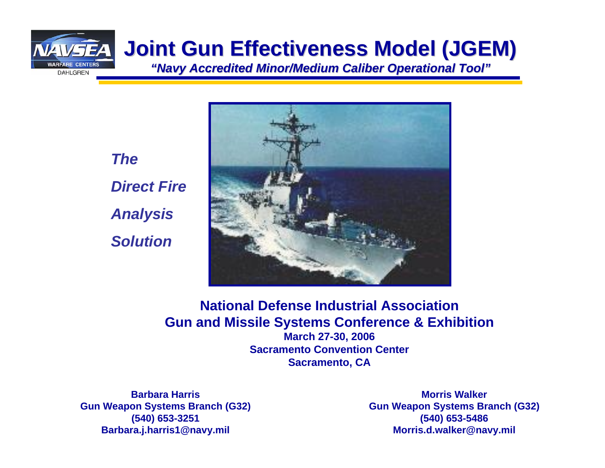

*TheDirect FireAnalysis Solution*



**National Defense Industrial Association Gun and Missile Systems Conference & Exhibition March 27-30, 2006 Sacramento Convention CenterSacramento, CA**

**Barbara HarrisGun Weapon Systems Branch (G32) (540) 653-3251 Barbara.j.harris1@navy.mil**

**Morris WalkerGun Weapon Systems Branch (G32) (540) 653-5486 Morris.d.walker@navy.mil**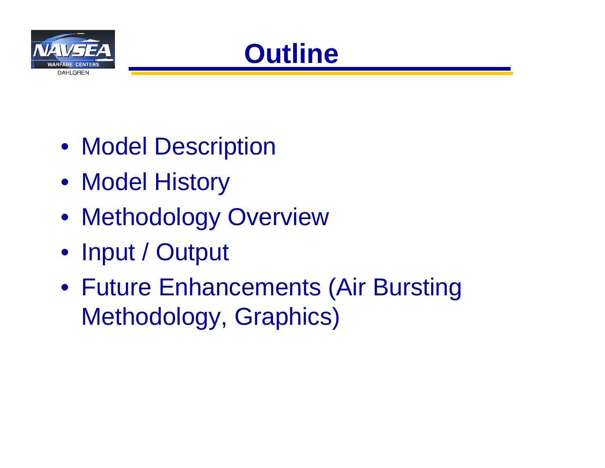



- Model Description
- Model History
- Methodology Overview
- Input / Output
- Future Enhancements (Air Bursting Methodology, Graphics)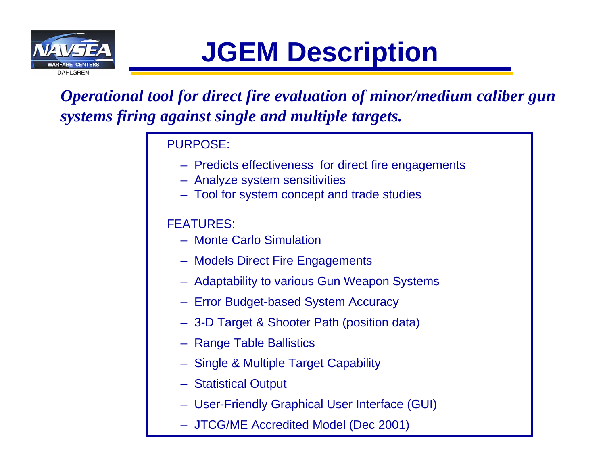

# **JGEM Description**

*Operational tool for direct fire evaluation of minor/medium caliber gun systems firing against single and multiple targets.* 

#### PURPOSE:

- Predicts effectiveness for direct fire engagements
- Analyze system sensitivities
- Tool for system concept and trade studies

### FEATURES:

- Monte Carlo Simulation
- Models Direct Fire Engagements
- Adaptability to various Gun Weapon Systems
- Error Budget-based System Accuracy
- 3-D Target & Shooter Path (position data)
- Range Table Ballistics
- Single & Multiple Target Capability
- Statistical Output
- User-Friendly Graphical User Interface (GUI)
- JTCG/ME Accredited Model (Dec 2001)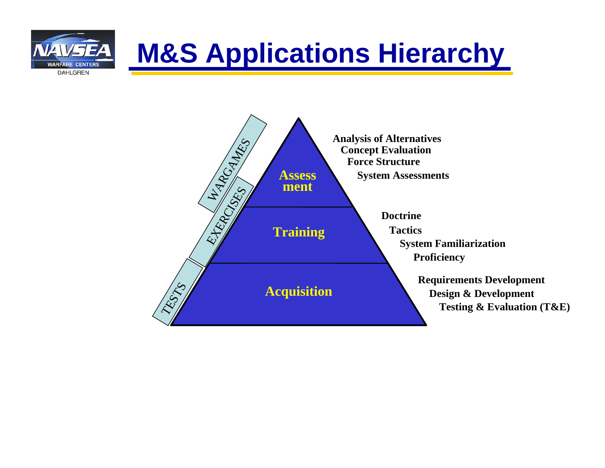

**WARFARE CENTERS DAHLGREN** 

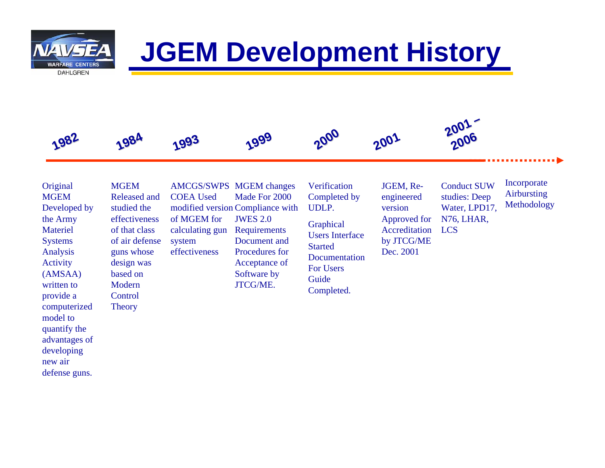

## **JGEM Development History**

#### **Original MGEM** Developed by the Army Materiel Systems Analysis Activity (AMSAA) written to provide a computerized model to quantify the advantages of developing new air defense guns.

COEA Used of MGEM for system effectiveness**MGEM** Released and studied the effectiveness of that classof air defense guns whose design was based on Modern**Control Theory** 

**1984**

AMCGS/SWPS MGEM changes Made For 2000 modified version Compliance with JWES 2.0 Requirements Document and Procedures for Acceptance of Software by JTCG/ME.calculating gun

**2000 1982 1999 2001 1993**

Verification Completed by UDLP.

**Graphical** Users Interface **Started Documentation** For Users Guide Completed.

JGEM, Reengineered version Approved for Accreditation LCSby JTCG/ME Dec. 2001

Conduct SUW studies: Deep Water, LPD17, N76, LHAR,

**2001 – 2006**

> Incorporate Airbursting Methodology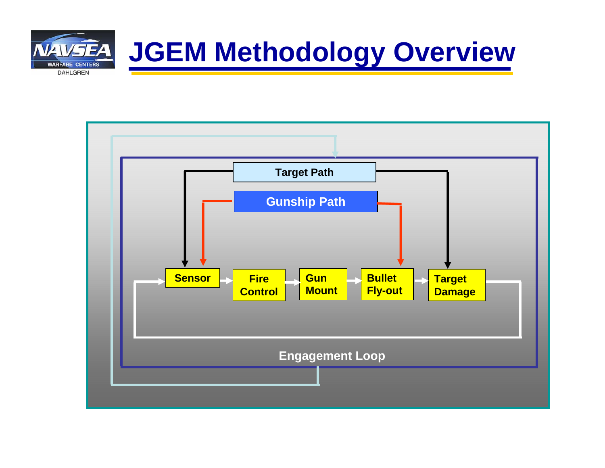

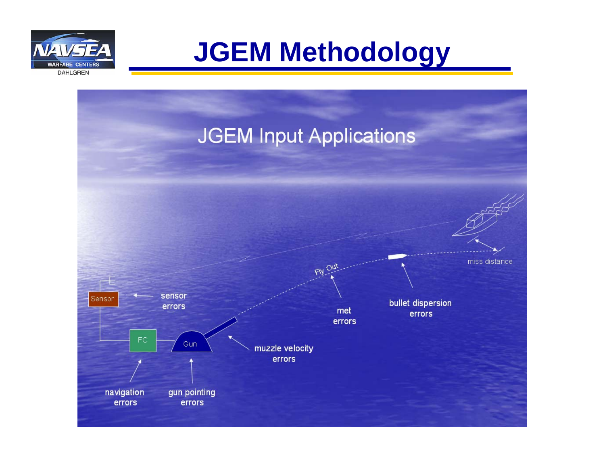

**JGEM Methodology**

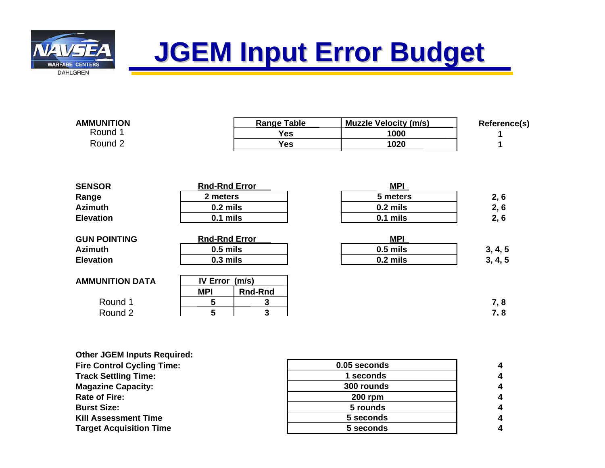

## **JGEM Input Error Budget JGEM Input Error Budget**

| <b>AMMUNITION</b>      |                      | <b>Range Table</b> | <b>Muzzle Velocity (m/s)</b> | Reference(s) |
|------------------------|----------------------|--------------------|------------------------------|--------------|
| Round 1                |                      | <b>Yes</b>         | 1000                         |              |
| Round 2                |                      | <b>Yes</b>         | 1020                         |              |
|                        |                      |                    |                              |              |
| <b>SENSOR</b>          | <b>Rnd-Rnd Error</b> |                    | <b>MPI</b>                   |              |
| Range                  | 2 meters             |                    | 5 meters                     | 2, 6         |
| <b>Azimuth</b>         | $0.2$ mils           |                    | $0.2$ mils                   | 2, 6         |
| <b>Elevation</b>       | $0.1$ mils           |                    | 0.1 mils                     | 2, 6         |
| <b>GUN POINTING</b>    | <b>Rnd-Rnd Error</b> |                    | <b>MPI</b>                   |              |
| <b>Azimuth</b>         | $0.5$ mils           |                    | $0.5$ mils                   | 3, 4, 5      |
| <b>Elevation</b>       | $0.3$ mils           |                    | $0.2$ mils                   | 3, 4, 5      |
| <b>AMMUNITION DATA</b> | IV Error (m/s)       |                    |                              |              |
|                        | <b>MPI</b>           | <b>Rnd-Rnd</b>     |                              |              |
| Round 1                | 5                    | 3                  |                              | 7,8          |
| Round 2                | 5                    | 3                  |                              | 7,8          |

**Other JGEM Inputs Required:**

**Fire Control Cycling Time: Track Settling Time:**

**Magazine Capacity:**

**Rate of Fire:**

**Burst Size:**

**Kill Assessment Time** 

**Target Acquisition Time**

| 0.05 seconds   |  |
|----------------|--|
| 1 seconds      |  |
| 300 rounds     |  |
| <b>200 rpm</b> |  |
| 5 rounds       |  |
| 5 seconds      |  |
| 5 seconds      |  |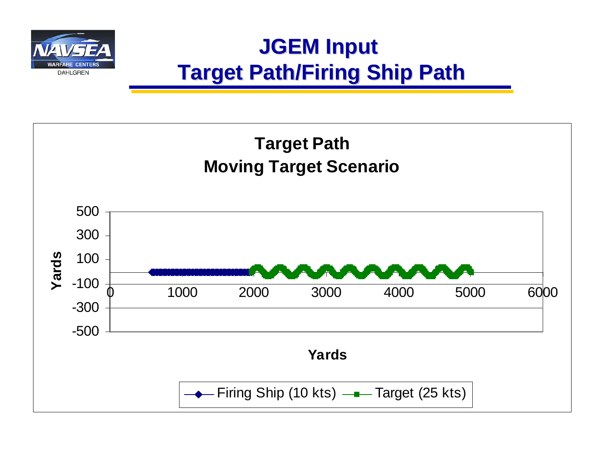

### **JGEM Input JGEM Input Target Path/Firing Ship Path Target Path/Firing Ship Path**

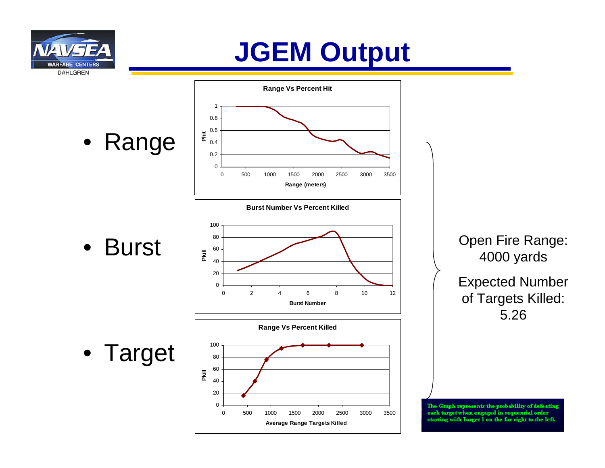

## **JGEM Output**

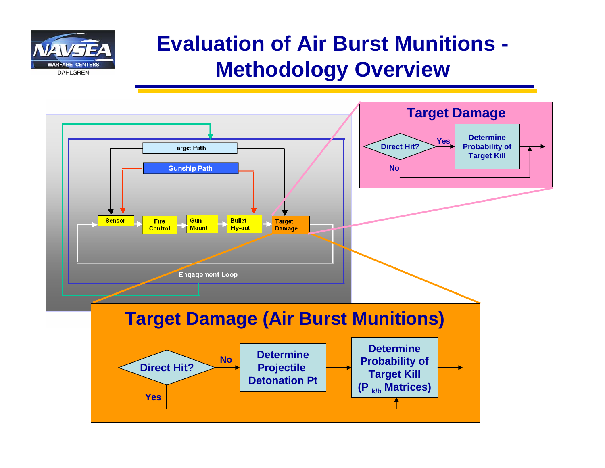

### **Evaluation of Air Burst Munitions - Methodology Overview**

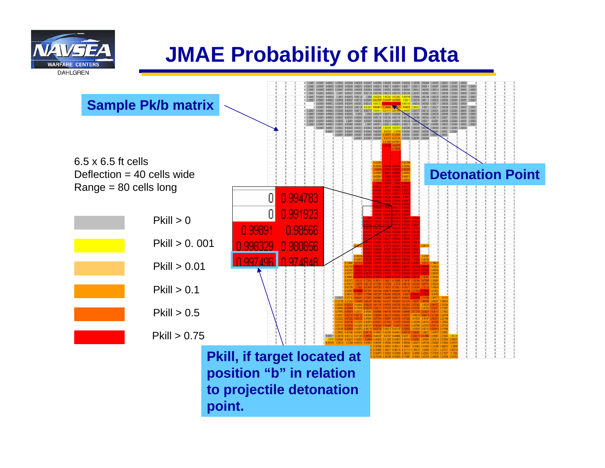

### **JMAE Probability of Kill Data**

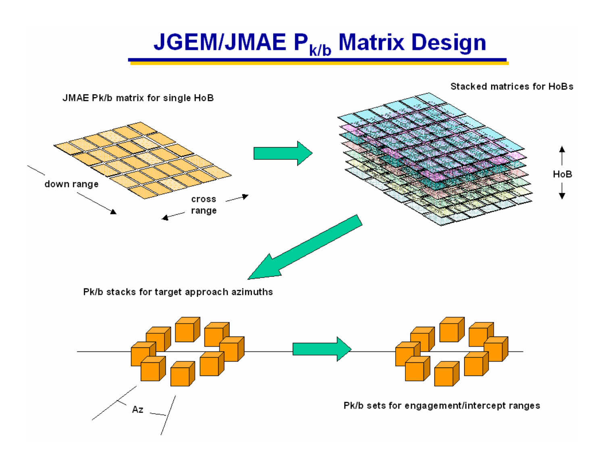## **JGEM/JMAE P<sub>k/b</sub> Matrix Design**

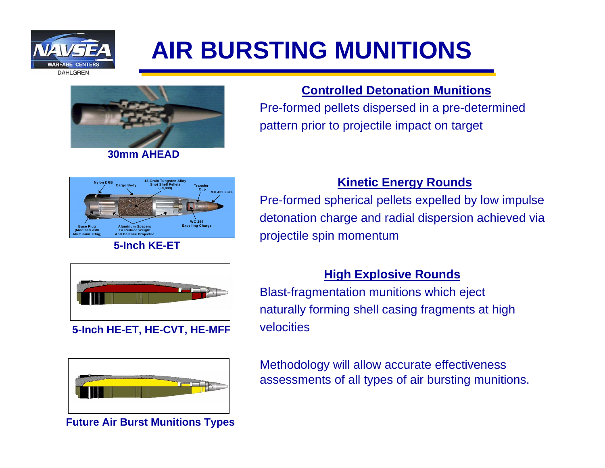

## **AIR BURSTING MUNITIONS**



**30mm AHEAD**

#### **Controlled Detonation Munitions**

Pre-formed pellets dispersed in a pre-determined pattern prior to projectile impact on target



#### **5-Inch KE-ET**

#### **Kinetic Energy Rounds**

Pre-formed spherical pellets expelled by low impulse detonation charge and radial dispersion achieved via projectile spin momentum



#### **5-Inch HE-ET, HE-CVT, HE-MFF**



**Future Air Burst Munitions Types**

#### **High Explosive Rounds**

Blast-fragmentation munitions which eject naturally forming shell casing fragments at high velocities

Methodology will allow accurate effectiveness assessments of all types of air bursting munitions.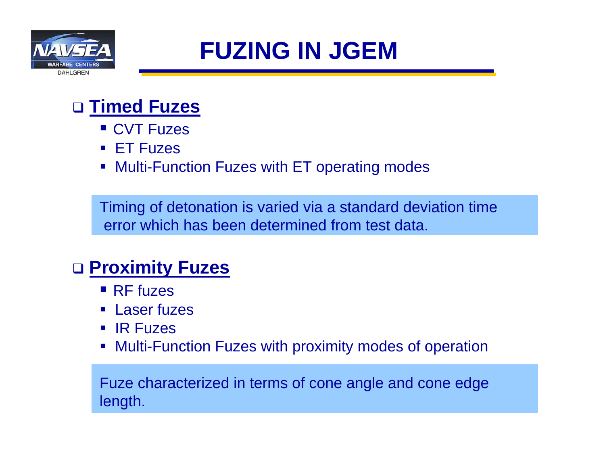

### **FUZING IN JGEM**

### **Timed Fuzes**

- CVT Fuzes
- ET Fuzes
- Multi-Function Fuzes with ET operating modes

Timing of detonation is varied via a standard deviation time error which has been determined from test data.

### **Proximity Fuzes**

- RF fuzes
- Laser fuzes
- IR Fuzes
- Multi-Function Fuzes with proximity modes of operation

Fuze characterized in terms of cone angle and cone edge length.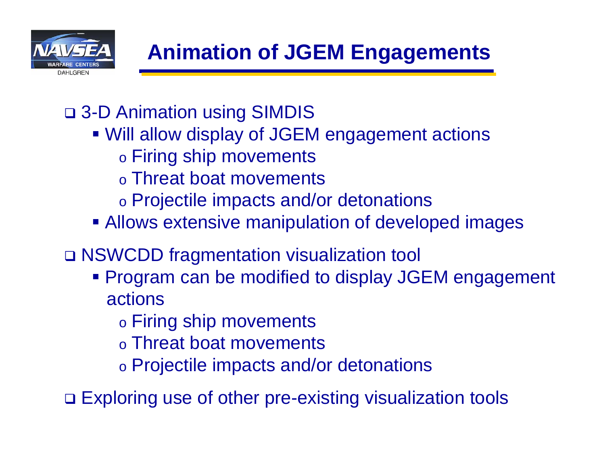

- 3-D Animation using SIMDIS
	- Will allow display of JGEM engagement actions
		- o Firing ship movements
		- o Threat boat movements
		- o Projectile impacts and/or detonations
	- **Allows extensive manipulation of developed images**
- NSWCDD fragmentation visualization tool
	- **Program can be modified to display JGEM engagement** actions
		- o Firing ship movements
		- o Threat boat movements
		- o Projectile impacts and/or detonations
- □ Exploring use of other pre-existing visualization tools